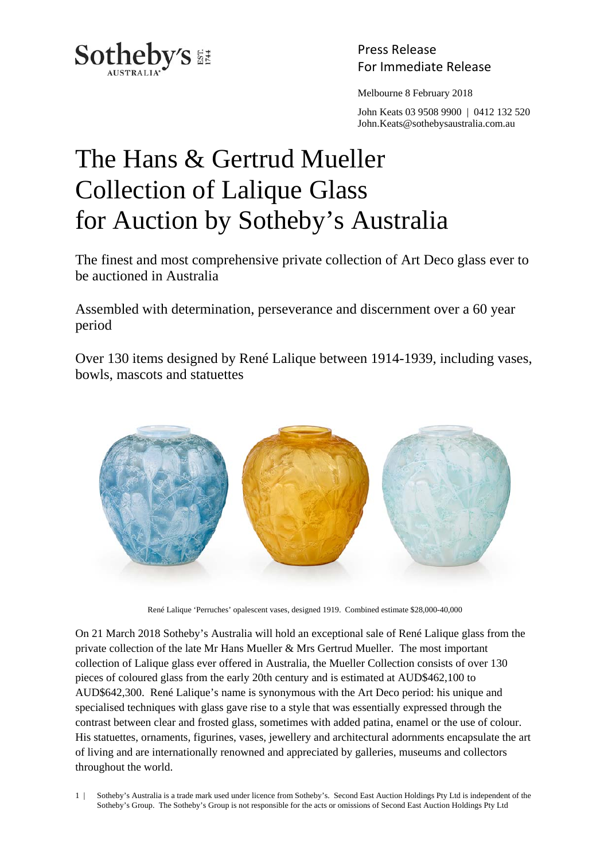

Press Release

Melbourne 8 February 2018

 John Keats 03 9508 9900 | 0412 132 520 John.Keats@sothebysaustralia.com.au

## The Hans & Gertrud Mueller Collection of Lalique Glass for Auction by Sotheby's Australia

The finest and most comprehensive private collection of Art Deco glass ever to be auctioned in Australia

Assembled with determination, perseverance and discernment over a 60 year period

Over 130 items designed by René Lalique between 1914-1939, including vases, bowls, mascots and statuettes



René Lalique 'Perruches' opalescent vases, designed 1919. Combined estimate \$28,000-40,000

On 21 March 2018 Sotheby's Australia will hold an exceptional sale of René Lalique glass from the private collection of the late Mr Hans Mueller & Mrs Gertrud Mueller. The most important collection of Lalique glass ever offered in Australia, the Mueller Collection consists of over 130 pieces of coloured glass from the early 20th century and is estimated at AUD\$462,100 to AUD\$642,300. René Lalique's name is synonymous with the Art Deco period: his unique and specialised techniques with glass gave rise to a style that was essentially expressed through the contrast between clear and frosted glass, sometimes with added patina, enamel or the use of colour. His statuettes, ornaments, figurines, vases, jewellery and architectural adornments encapsulate the art of living and are internationally renowned and appreciated by galleries, museums and collectors throughout the world.

1 | Sotheby's Australia is a trade mark used under licence from Sotheby's. Second East Auction Holdings Pty Ltd is independent of the Sotheby's Group. The Sotheby's Group is not responsible for the acts or omissions of Second East Auction Holdings Pty Ltd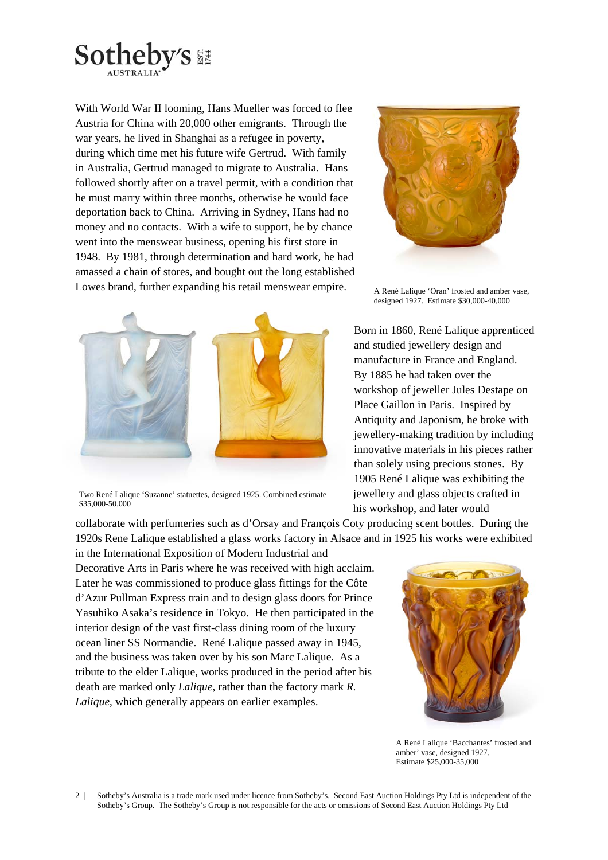

With World War II looming, Hans Mueller was forced to flee Austria for China with 20,000 other emigrants. Through the war years, he lived in Shanghai as a refugee in poverty, during which time met his future wife Gertrud. With family in Australia, Gertrud managed to migrate to Australia. Hans followed shortly after on a travel permit, with a condition that he must marry within three months, otherwise he would face deportation back to China. Arriving in Sydney, Hans had no money and no contacts. With a wife to support, he by chance went into the menswear business, opening his first store in 1948. By 1981, through determination and hard work, he had amassed a chain of stores, and bought out the long established Lowes brand, further expanding his retail menswear empire.



Two René Lalique 'Suzanne' statuettes, designed 1925. Combined estimate \$35,000-50,000

collaborate with perfumeries such as d'Orsay and François Coty producing scent bottles. During the 1920s Rene Lalique established a glass works factory in Alsace and in 1925 his works were exhibited

in the International Exposition of Modern Industrial and Decorative Arts in Paris where he was received with high acclaim. Later he was commissioned to produce glass fittings for the Côte d'Azur Pullman Express train and to design glass doors for Prince Yasuhiko Asaka's residence in Tokyo. He then participated in the interior design of the vast first-class dining room of the luxury ocean liner SS Normandie. René Lalique passed away in 1945, and the business was taken over by his son Marc Lalique. As a tribute to the elder Lalique, works produced in the period after his death are marked only *Lalique*, rather than the factory mark *R. Lalique*, which generally appears on earlier examples.



A René Lalique 'Oran' frosted and amber vase, designed 1927. Estimate \$30,000-40,000

Born in 1860, René Lalique apprenticed and studied jewellery design and manufacture in France and England. By 1885 he had taken over the workshop of jeweller Jules Destape on Place Gaillon in Paris. Inspired by Antiquity and Japonism, he broke with jewellery-making tradition by including innovative materials in his pieces rather than solely using precious stones. By 1905 René Lalique was exhibiting the jewellery and glass objects crafted in his workshop, and later would



A René Lalique 'Bacchantes' frosted and amber' vase, designed 1927. Estimate \$25,000-35,000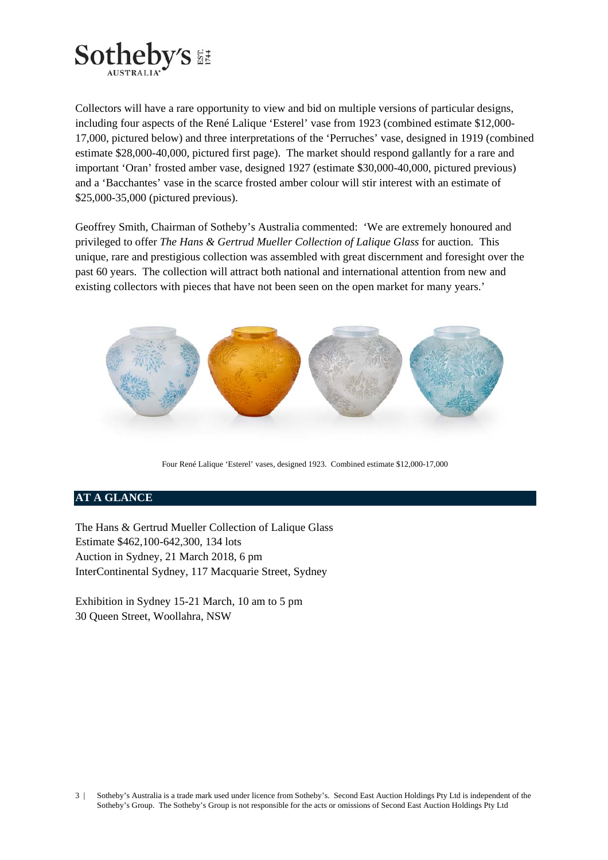

Collectors will have a rare opportunity to view and bid on multiple versions of particular designs, including four aspects of the René Lalique 'Esterel' vase from 1923 (combined estimate \$12,000- 17,000, pictured below) and three interpretations of the 'Perruches' vase, designed in 1919 (combined estimate \$28,000-40,000, pictured first page). The market should respond gallantly for a rare and important 'Oran' frosted amber vase, designed 1927 (estimate \$30,000-40,000, pictured previous) and a 'Bacchantes' vase in the scarce frosted amber colour will stir interest with an estimate of \$25,000-35,000 (pictured previous).

Geoffrey Smith, Chairman of Sotheby's Australia commented: 'We are extremely honoured and privileged to offer *The Hans & Gertrud Mueller Collection of Lalique Glass* for auction*.* This unique, rare and prestigious collection was assembled with great discernment and foresight over the past 60 years. The collection will attract both national and international attention from new and existing collectors with pieces that have not been seen on the open market for many years.'



Four René Lalique 'Esterel' vases, designed 1923. Combined estimate \$12,000-17,000

## **AT A GLANCE**

The Hans & Gertrud Mueller Collection of Lalique Glass Estimate \$462,100-642,300, 134 lots Auction in Sydney, 21 March 2018, 6 pm InterContinental Sydney, 117 Macquarie Street, Sydney

Exhibition in Sydney 15-21 March, 10 am to 5 pm 30 Queen Street, Woollahra, NSW